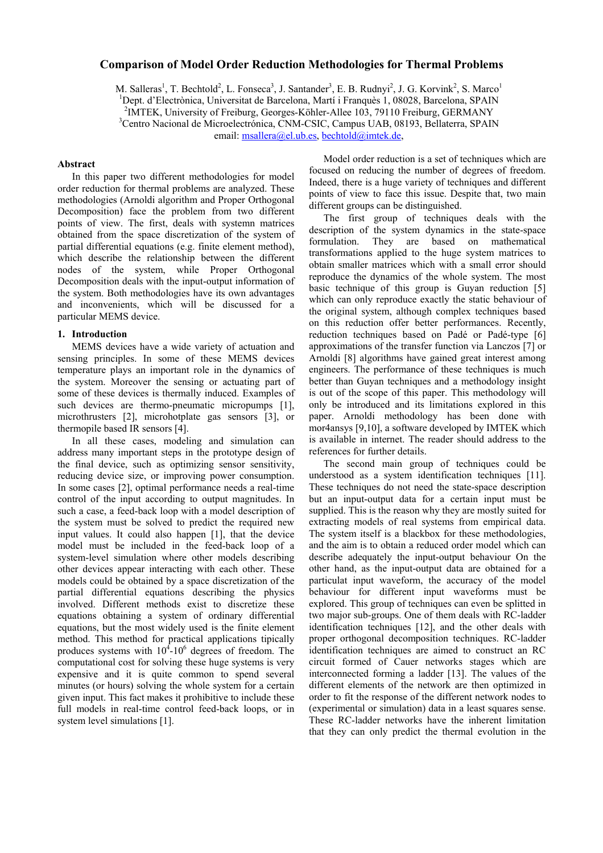# **Comparison of Model Order Reduction Methodologies for Thermal Problems**

M. Salleras<sup>1</sup>, T. Bechtold<sup>2</sup>, L. Fonseca<sup>3</sup>, J. Santander<sup>3</sup>, E. B. Rudnyi<sup>2</sup>, J. G. Korvink<sup>2</sup>, S. Marco<sup>1</sup> <sup>1</sup>Dept. d'Electrònica, Universitat de Barcelona, Martí i Franquès 1, 08028, Barcelona, SPAIN <sup>2</sup> MATEV, University e Creiburg, Centre del <sup>2</sup> MATEV, University e Creiburg, Centre del <sup>2</sup> <sup>2</sup>IMTEK, University of Freiburg, Georges-Köhler-Allee 103, 79110 Freiburg, GERMANY <sup>3</sup>Centro Nacional de Microelectrónica, CNM-CSIC, Campus UAB, 08193, Bellaterra, SPAIN email: [msallera@el.ub.es,](mailto:msallera@el.ub.es) [bechtold@imtek.de,](mailto:bechtold@imtek.de)

### **Abstract**

In this paper two different methodologies for model order reduction for thermal problems are analyzed. These methodologies (Arnoldi algorithm and Proper Orthogonal Decomposition) face the problem from two different points of view. The first, deals with systemn matrices obtained from the space discretization of the system of partial differential equations (e.g. finite element method), which describe the relationship between the different nodes of the system, while Proper Orthogonal Decomposition deals with the input-output information of the system. Both methodologies have its own advantages and inconvenients, which will be discussed for a particular MEMS device.

## **1. Introduction**

MEMS devices have a wide variety of actuation and sensing principles. In some of these MEMS devices temperature plays an important role in the dynamics of the system. Moreover the sensing or actuating part of some of these devices is thermally induced. Examples of such devices are thermo-pneumatic micropumps [1], microthrusters [2], microhotplate gas sensors [3], or thermopile based IR sensors [4].

In all these cases, modeling and simulation can address many important steps in the prototype design of the final device, such as optimizing sensor sensitivity, reducing device size, or improving power consumption. In some cases [2], optimal performance needs a real-time control of the input according to output magnitudes. In such a case, a feed-back loop with a model description of the system must be solved to predict the required new input values. It could also happen [1], that the device model must be included in the feed-back loop of a system-level simulation where other models describing other devices appear interacting with each other. These models could be obtained by a space discretization of the partial differential equations describing the physics involved. Different methods exist to discretize these equations obtaining a system of ordinary differential equations, but the most widely used is the finite element method. This method for practical applications tipically produces systems with  $10^4$ -10<sup>6</sup> degrees of freedom. The computational cost for solving these huge systems is very expensive and it is quite common to spend several minutes (or hours) solving the whole system for a certain given input. This fact makes it prohibitive to include these full models in real-time control feed-back loops, or in system level simulations [1].

Model order reduction is a set of techniques which are focused on reducing the number of degrees of freedom. Indeed, there is a huge variety of techniques and different points of view to face this issue. Despite that, two main different groups can be distinguished.

The first group of techniques deals with the description of the system dynamics in the state-space formulation. They are based on mathematical transformations applied to the huge system matrices to obtain smaller matrices which with a small error should reproduce the dynamics of the whole system. The most basic technique of this group is Guyan reduction [5] which can only reproduce exactly the static behaviour of the original system, although complex techniques based on this reduction offer better performances. Recently, reduction techniques based on Padé or Padé-type [6] approximations of the transfer function via Lanczos [7] or Arnoldi [8] algorithms have gained great interest among engineers. The performance of these techniques is much better than Guyan techniques and a methodology insight is out of the scope of this paper. This methodology will only be introduced and its limitations explored in this paper. Arnoldi methodology has been done with mor4ansys [9,10], a software developed by IMTEK which is available in internet. The reader should address to the references for further details.

The second main group of techniques could be understood as a system identification techniques [11]. These techniques do not need the state-space description but an input-output data for a certain input must be supplied. This is the reason why they are mostly suited for extracting models of real systems from empirical data. The system itself is a blackbox for these methodologies, and the aim is to obtain a reduced order model which can describe adequately the input-output behaviour On the other hand, as the input-output data are obtained for a particulat input waveform, the accuracy of the model behaviour for different input waveforms must be explored. This group of techniques can even be splitted in two major sub-groups. One of them deals with RC-ladder identification techniques [12], and the other deals with proper orthogonal decomposition techniques. RC-ladder identification techniques are aimed to construct an RC circuit formed of Cauer networks stages which are interconnected forming a ladder [13]. The values of the different elements of the network are then optimized in order to fit the response of the different network nodes to (experimental or simulation) data in a least squares sense. These RC-ladder networks have the inherent limitation that they can only predict the thermal evolution in the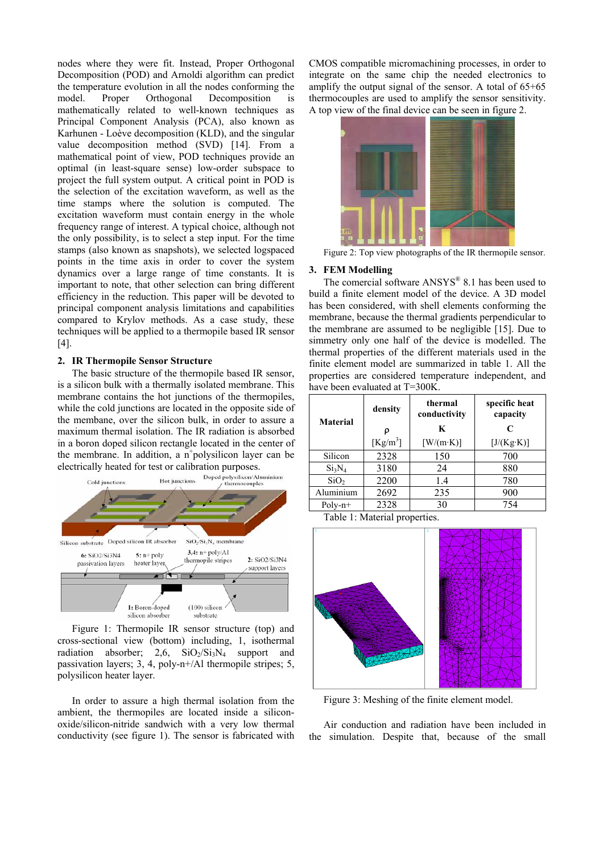nodes where they were fit. Instead, Proper Orthogonal Decomposition (POD) and Arnoldi algorithm can predict the temperature evolution in all the nodes conforming the model. Proper Orthogonal Decomposition is mathematically related to well-known techniques as Principal Component Analysis (PCA), also known as Karhunen - Loève decomposition (KLD), and the singular value decomposition method (SVD) [14]. From a mathematical point of view, POD techniques provide an optimal (in least-square sense) low-order subspace to project the full system output. A critical point in POD is the selection of the excitation waveform, as well as the time stamps where the solution is computed. The excitation waveform must contain energy in the whole frequency range of interest. A typical choice, although not the only possibility, is to select a step input. For the time stamps (also known as snapshots), we selected logspaced points in the time axis in order to cover the system dynamics over a large range of time constants. It is important to note, that other selection can bring different efficiency in the reduction. This paper will be devoted to principal component analysis limitations and capabilities compared to Krylov methods. As a case study, these techniques will be applied to a thermopile based IR sensor [4].

## **2. IR Thermopile Sensor Structure**

The basic structure of the thermopile based IR sensor, is a silicon bulk with a thermally isolated membrane. This membrane contains the hot junctions of the thermopiles, while the cold junctions are located in the opposite side of the membane, over the silicon bulk, in order to assure a maximum thermal isolation. The IR radiation is absorbed in a boron doped silicon rectangle located in the center of the membrane. In addition, a  $n^+$ polysilicon layer can be



Figure 1: Thermopile IR sensor structure (top) and cross-sectional view (bottom) including, 1, isothermal radiation absorber;  $2,6$ ,  $SiO_2/Si_3N_4$  support and passivation layers; 3, 4, poly-n+/Al thermopile stripes; 5, polysilicon heater layer.

In order to assure a high thermal isolation from the ambient, the thermopiles are located inside a siliconoxide/silicon-nitride sandwich with a very low thermal conductivity (see figure 1). The sensor is fabricated with

CMOS compatible micromachining processes, in order to integrate on the same chip the needed electronics to amplify the output signal of the sensor. A total of 65+65 thermocouples are used to amplify the sensor sensitivity. A top view of the final device can be seen in figure 2.



Figure 2: Top view photographs of the IR thermopile sensor.

## **3. FEM Modelling**

The comercial software  $ANSYS^{\circledR} 8.1$  has been used to build a finite element model of the device. A 3D model has been considered, with shell elements conforming the membrane, because the thermal gradients perpendicular to the membrane are assumed to be negligible [15]. Due to simmetry only one half of the device is modelled. The thermal properties of the different materials used in the finite element model are summarized in table 1. All the properties are considered temperature independent, and have been evaluated at T=300K.

| <b>Material</b>  | density              | thermal<br>conductivity | specific heat<br>capacity |
|------------------|----------------------|-------------------------|---------------------------|
|                  | ρ                    | K                       | C                         |
|                  | [Kg/m <sup>3</sup> ] | $[ W/(m \cdot K) ]$     | [J/(Kg·K)]                |
| Silicon          | 2328                 | 150                     | 700                       |
| $Si_3N_4$        | 3180                 | 24                      | 880                       |
| SiO <sub>2</sub> | 2200                 | 1.4                     | 780                       |
| Aluminium        | 2692                 | 235                     | 900                       |
| $Poly-n+$        | 2328                 | 30                      | 754                       |

Table 1: Material properties.



Figure 3: Meshing of the finite element model.

Air conduction and radiation have been included in the simulation. Despite that, because of the small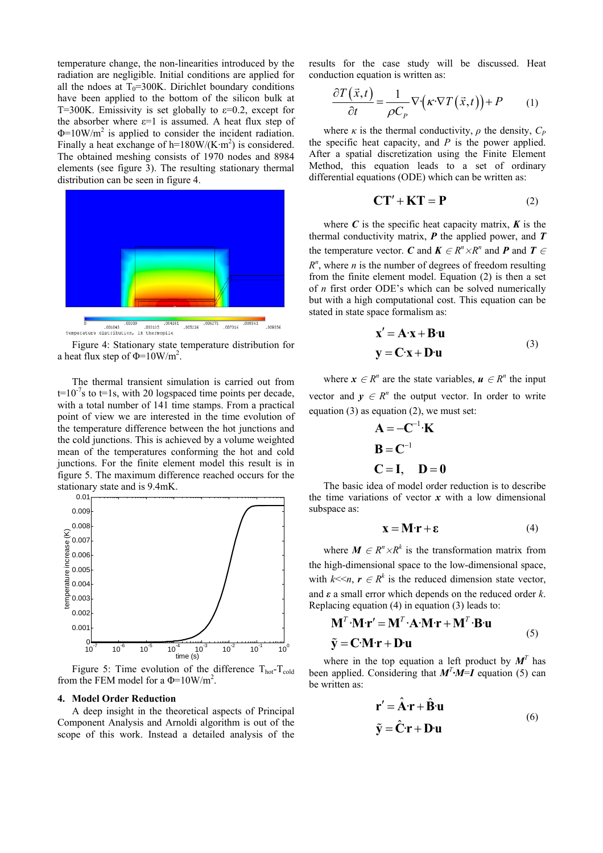temperature change, the non-linearities introduced by the radiation are negligible. Initial conditions are applied for all the ndoes at  $T_0$ =300K. Dirichlet boundary conditions have been applied to the bottom of the silicon bulk at T=300K. Emissivity is set globally to  $\varepsilon$ =0.2, except for the absorber where  $\varepsilon=1$  is assumed. A heat flux step of  $\Phi$ =10W/m<sup>2</sup> is applied to consider the incident radiation. Finally a heat exchange of h=180W/(K $\cdot$ m<sup>2</sup>) is considered. The obtained meshing consists of 1970 nodes and 8984 elements (see figure 3). The resulting stationary thermal distribution can be seen in figure 4.



a heat flux step of  $\Phi = 10 \text{W/m}^2$ .

The thermal transient simulation is carried out from  $t=10^{-7}$ s to  $t=1$ s, with 20 logspaced time points per decade, with a total number of 141 time stamps. From a practical point of view we are interested in the time evolution of the temperature difference between the hot junctions and the cold junctions. This is achieved by a volume weighted mean of the temperatures conforming the hot and cold junctions. For the finite element model this result is in figure 5. The maximum difference reached occurs for the stationary state and is 9.4mK.



Figure 5: Time evolution of the difference  $T_{hot} - T_{cold}$ from the FEM model for a  $\Phi = 10W/m^2$ .

#### **4. Model Order Reduction**

A deep insight in the theoretical aspects of Principal Component Analysis and Arnoldi algorithm is out of the scope of this work. Instead a detailed analysis of the results for the case study will be discussed. Heat conduction equation is written as:

$$
\frac{\partial T(\vec{x},t)}{\partial t} = \frac{1}{\rho C_P} \nabla \left( \kappa \cdot \nabla T(\vec{x},t) \right) + P \qquad (1)
$$

where  $\kappa$  is the thermal conductivity,  $\rho$  the density,  $C_P$ the specific heat capacity, and  $P$  is the power applied. After a spatial discretization using the Finite Element Method, this equation leads to a set of ordinary differential equations (ODE) which can be written as:

$$
CT' + KT = P \tag{2}
$$

where  $C$  is the specific heat capacity matrix,  $K$  is the thermal conductivity matrix, *P* the applied power, and *T* the temperature vector. *C* and  $K \in R^n \times R^n$  and *P* and *T*  $\in$  $R<sup>n</sup>$ , where *n* is the number of degrees of freedom resulting from the finite element model. Equation (2) is then a set of *n* first order ODE's which can be solved numerically but with a high computational cost. This equation can be stated in state space formalism as:

$$
\mathbf{x}' = \mathbf{A} \cdot \mathbf{x} + \mathbf{B} \cdot \mathbf{u}
$$
  

$$
\mathbf{y} = \mathbf{C} \cdot \mathbf{x} + \mathbf{D} \cdot \mathbf{u}
$$
 (3)

where  $x \in R^n$  are the state variables,  $u \in R^n$  the input vector and  $y \in R^n$  the output vector. In order to write equation  $(3)$  as equation  $(2)$ , we must set:

$$
A = -C^{-1} \cdot K
$$
  
\n
$$
B = C^{-1}
$$
  
\n
$$
C = I, \quad D = 0
$$

The basic idea of model order reduction is to describe the time variations of vector  $x$  with a low dimensional subspace as:

$$
\mathbf{X} = \mathbf{M} \cdot \mathbf{r} + \varepsilon \tag{4}
$$

where  $M \in R^n \times R^k$  is the transformation matrix from the high-dimensional space to the low-dimensional space, with  $k \ll n$ ,  $r \in R^k$  is the reduced dimension state vector, and *ε* a small error which depends on the reduced order *k*. Replacing equation (4) in equation (3) leads to:

$$
\mathbf{M}^T \cdot \mathbf{M} \cdot \mathbf{r}' = \mathbf{M}^T \cdot \mathbf{A} \cdot \mathbf{M} \cdot \mathbf{r} + \mathbf{M}^T \cdot \mathbf{B} \cdot \mathbf{u}
$$
  
 
$$
\tilde{\mathbf{y}} = \mathbf{C} \cdot \mathbf{M} \cdot \mathbf{r} + \mathbf{D} \cdot \mathbf{u}
$$
 (5)

where in the top equation a left product by  $M<sup>T</sup>$  has been applied. Considering that  $M<sup>T</sup> \cdot M = I$  equation (5) can be written as:

$$
\mathbf{r}' = \hat{\mathbf{A}} \cdot \mathbf{r} + \hat{\mathbf{B}} \cdot \mathbf{u}
$$
  

$$
\tilde{\mathbf{y}} = \hat{\mathbf{C}} \cdot \mathbf{r} + \mathbf{D} \cdot \mathbf{u}
$$
 (6)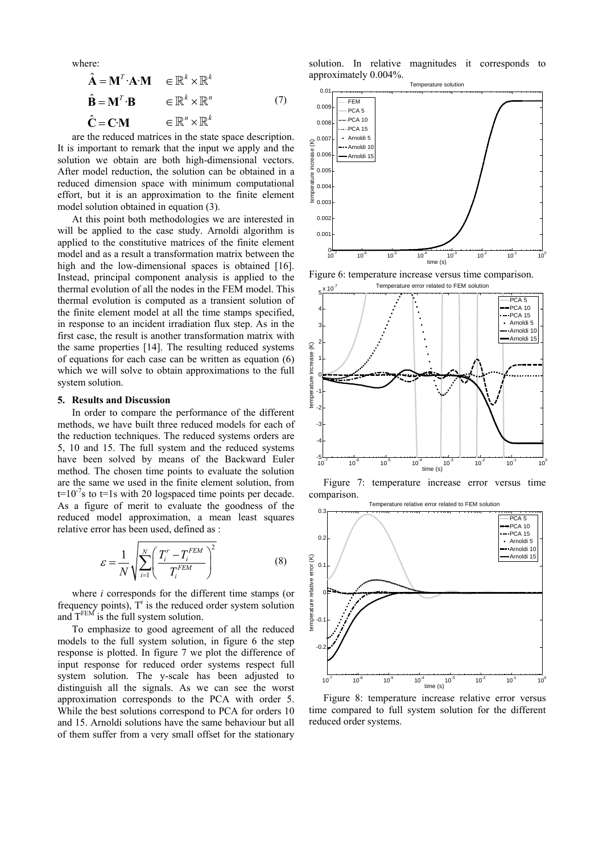where:

$$
\hat{\mathbf{A}} = \mathbf{M}^T \cdot \mathbf{A} \cdot \mathbf{M} \quad \in \mathbb{R}^k \times \mathbb{R}^k
$$
\n
$$
\hat{\mathbf{B}} = \mathbf{M}^T \cdot \mathbf{B} \quad \in \mathbb{R}^k \times \mathbb{R}^n
$$
\n
$$
\hat{\mathbf{C}} = \mathbf{C} \cdot \mathbf{M} \quad \in \mathbb{R}^n \times \mathbb{R}^k
$$
\n(7)

are the reduced matrices in the state space description. It is important to remark that the input we apply and the solution we obtain are both high-dimensional vectors. After model reduction, the solution can be obtained in a reduced dimension space with minimum computational effort, but it is an approximation to the finite element model solution obtained in equation (3).

At this point both methodologies we are interested in will be applied to the case study. Arnoldi algorithm is applied to the constitutive matrices of the finite element model and as a result a transformation matrix between the high and the low-dimensional spaces is obtained [16]. Instead, principal component analysis is applied to the thermal evolution of all the nodes in the FEM model. This thermal evolution is computed as a transient solution of the finite element model at all the time stamps specified, in response to an incident irradiation flux step. As in the first case, the result is another transformation matrix with the same properties [14]. The resulting reduced systems of equations for each case can be written as equation (6) which we will solve to obtain approximations to the full system solution.

#### **5. Results and Discussion**

In order to compare the performance of the different methods, we have built three reduced models for each of the reduction techniques. The reduced systems orders are 5, 10 and 15. The full system and the reduced systems have been solved by means of the Backward Euler method. The chosen time points to evaluate the solution are the same we used in the finite element solution, from  $t=10^{-7}$ s to  $t=1$ s with 20 logspaced time points per decade. As a figure of merit to evaluate the goodness of the reduced model approximation, a mean least squares relative error has been used, defined as :

$$
\varepsilon = \frac{1}{N} \sqrt{\sum_{i=1}^{N} \left( \frac{T_i^r - T_i^{FEM}}{T_i^{FEM}} \right)^2}
$$
(8)

where *i* corresponds for the different time stamps (or frequency points),  $T<sup>r</sup>$  is the reduced order system solution and  $T^{FEM}$  is the full system solution.

To emphasize to good agreement of all the reduced models to the full system solution, in figure 6 the step response is plotted. In figure 7 we plot the difference of input response for reduced order systems respect full system solution. The y-scale has been adjusted to distinguish all the signals. As we can see the worst approximation corresponds to the PCA with order 5. While the best solutions correspond to PCA for orders 10 and 15. Arnoldi solutions have the same behaviour but all of them suffer from a very small offset for the stationary

solution. In relative magnitudes it corresponds to approximately 0.004%.



Figure 6: temperature increase versus time comparison.



Figure 7: temperature increase error versus time comparison.



Figure 8: temperature increase relative error versus time compared to full system solution for the different reduced order systems.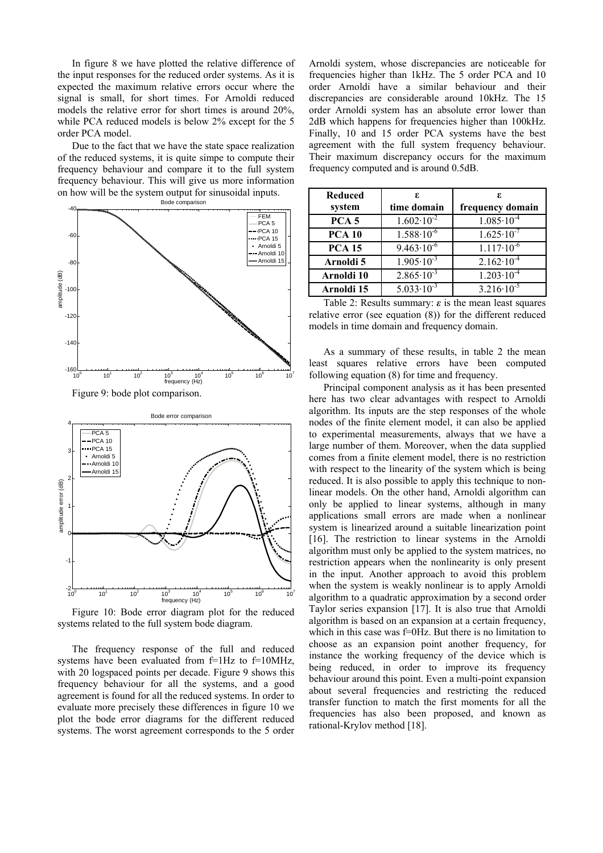In figure 8 we have plotted the relative difference of the input responses for the reduced order systems. As it is expected the maximum relative errors occur where the signal is small, for short times. For Arnoldi reduced models the relative error for short times is around 20%, while PCA reduced models is below 2% except for the 5 order PCA model.

Due to the fact that we have the state space realization of the reduced systems, it is quite simpe to compute their frequency behaviour and compare it to the full system frequency behaviour. This will give us more information on how will be the system output for sinusoidal inputs.



Figure 9: bode plot comparison.



Figure 10: Bode error diagram plot for the reduced systems related to the full system bode diagram.

The frequency response of the full and reduced systems have been evaluated from  $f=1Hz$  to  $f=10MHz$ , with 20 logspaced points per decade. Figure 9 shows this frequency behaviour for all the systems, and a good agreement is found for all the reduced systems. In order to evaluate more precisely these differences in figure 10 we plot the bode error diagrams for the different reduced systems. The worst agreement corresponds to the 5 order Arnoldi system, whose discrepancies are noticeable for frequencies higher than 1kHz. The 5 order PCA and 10 order Arnoldi have a similar behaviour and their discrepancies are considerable around 10kHz. The 15 order Arnoldi system has an absolute error lower than 2dB which happens for frequencies higher than 100kHz. Finally, 10 and 15 order PCA systems have the best agreement with the full system frequency behaviour. Their maximum discrepancy occurs for the maximum frequency computed and is around 0.5dB.

| <b>Reduced</b><br>system | ε.<br>time domain     | ε.<br>frequency domain |
|--------------------------|-----------------------|------------------------|
| PCA <sub>5</sub>         | $1.602 \cdot 10^{-2}$ | $1.085 \cdot 10^{-4}$  |
| <b>PCA 10</b>            | $1.588 \cdot 10^{-6}$ | $1.625 \cdot 10^{-7}$  |
| <b>PCA 15</b>            | $9.463 \cdot 10^{-6}$ | $1.117 \cdot 10^{-6}$  |
| Arnoldi 5                | $1.905 \cdot 10^{-3}$ | $2.162 \cdot 10^{-4}$  |
| Arnoldi 10               | $2.865 \cdot 10^{-3}$ | $1.203 \cdot 10^{-4}$  |
| Arnoldi 15               | $5.033 \cdot 10^{-3}$ | $3.216 \cdot 10^{-5}$  |

Table 2: Results summary: *ε* is the mean least squares relative error (see equation (8)) for the different reduced models in time domain and frequency domain.

As a summary of these results, in table 2 the mean least squares relative errors have been computed following equation (8) for time and frequency.

Principal component analysis as it has been presented here has two clear advantages with respect to Arnoldi algorithm. Its inputs are the step responses of the whole nodes of the finite element model, it can also be applied to experimental measurements, always that we have a large number of them. Moreover, when the data supplied comes from a finite element model, there is no restriction with respect to the linearity of the system which is being reduced. It is also possible to apply this technique to nonlinear models. On the other hand, Arnoldi algorithm can only be applied to linear systems, although in many applications small errors are made when a nonlinear system is linearized around a suitable linearization point [16]. The restriction to linear systems in the Arnoldi algorithm must only be applied to the system matrices, no restriction appears when the nonlinearity is only present in the input. Another approach to avoid this problem when the system is weakly nonlinear is to apply Arnoldi algorithm to a quadratic approximation by a second order Taylor series expansion [17]. It is also true that Arnoldi algorithm is based on an expansion at a certain frequency, which in this case was f=0Hz. But there is no limitation to choose as an expansion point another frequency, for instance the working frequency of the device which is being reduced, in order to improve its frequency behaviour around this point. Even a multi-point expansion about several frequencies and restricting the reduced transfer function to match the first moments for all the frequencies has also been proposed, and known as rational-Krylov method [18].